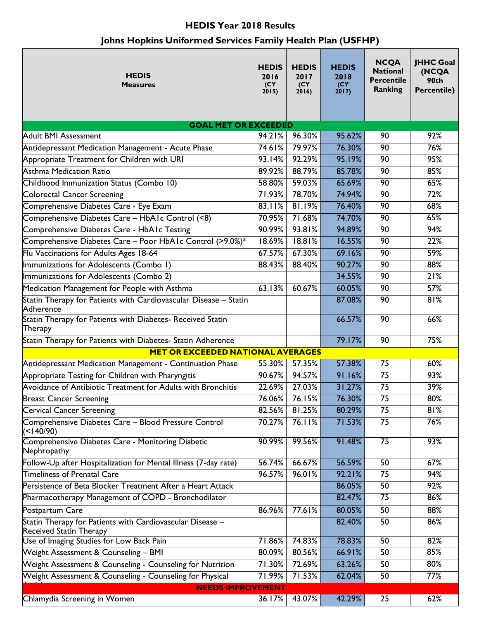## **HEDIS Year 2018 Results**

# **Johns Hopkins Uniformed Services Family Health Plan (USFHP)**

| <b>HEDIS</b><br><b>Measures</b>                                                             | <b>HEDIS</b><br>2016<br>(CY)<br>2015) | <b>HEDIS</b><br>2017<br>(CY)<br>2016) | <b>HEDIS</b><br>2018<br>(CY)<br>2017) | <b>NCQA</b><br><b>National</b><br><b>Percentile</b><br>Ranking | <b>JHHC Goal</b><br>(NCQA<br>90th<br><b>Percentile)</b> |  |  |  |  |  |
|---------------------------------------------------------------------------------------------|---------------------------------------|---------------------------------------|---------------------------------------|----------------------------------------------------------------|---------------------------------------------------------|--|--|--|--|--|
| <b>GOAL MET OR EXCEEDED</b>                                                                 |                                       |                                       |                                       |                                                                |                                                         |  |  |  |  |  |
| <b>Adult BMI Assessment</b>                                                                 | 94.21%                                | 96.30%                                | 95.62%                                | 90                                                             | 92%                                                     |  |  |  |  |  |
| Antidepressant Medication Management - Acute Phase                                          | 74.61%                                | 79.97%                                | 76.30%                                | 90                                                             | 76%                                                     |  |  |  |  |  |
| Appropriate Treatment for Children with URI                                                 | 93.14%                                | 92.29%                                | 95.19%                                | 90                                                             | 95%                                                     |  |  |  |  |  |
| <b>Asthma Medication Ratio</b>                                                              | 89.92%                                | 88.79%                                | 85.78%                                | 90                                                             | 85%                                                     |  |  |  |  |  |
| Childhood Immunization Status (Combo 10)                                                    | 58.80%                                | 59.03%                                | 65.69%                                | 90                                                             | 65%                                                     |  |  |  |  |  |
| <b>Colorectal Cancer Screening</b>                                                          | 71.93%                                | 78.70%                                | 74.94%                                | 90                                                             | $\overline{72\%}$                                       |  |  |  |  |  |
| Comprehensive Diabetes Care - Eye Exam                                                      | 83.11%                                | 81.19%                                | 76.40%                                | 90                                                             | 68%                                                     |  |  |  |  |  |
| Comprehensive Diabetes Care - HbAIc Control (<8)                                            | 70.95%                                | 71.68%                                | 74.70%                                | 90                                                             | 65%                                                     |  |  |  |  |  |
| Comprehensive Diabetes Care - HbAIc Testing                                                 | 90.99%                                | 93.81%                                | 94.89%                                | 90                                                             | 94%                                                     |  |  |  |  |  |
| Comprehensive Diabetes Care - Poor HbAIc Control (>9.0%)*                                   | 18.69%                                | 18.81%                                | 16.55%                                | 90                                                             | 22%                                                     |  |  |  |  |  |
| Flu Vaccinations for Adults Ages 18-64                                                      | 67.57%                                | 67.30%                                | 69.16%                                | 90                                                             | 59%                                                     |  |  |  |  |  |
| Immunizations for Adolescents (Combo 1)                                                     | 88.43%                                | 88.40%                                | 90.27%                                | 90                                                             | 88%                                                     |  |  |  |  |  |
| Immunizations for Adolescents (Combo 2)                                                     |                                       |                                       | 34.55%                                | 90                                                             | 21%                                                     |  |  |  |  |  |
| Medication Management for People with Asthma                                                | 63.13%                                | 60.67%                                | 60.05%                                | 90                                                             | 57%                                                     |  |  |  |  |  |
| Statin Therapy for Patients with Cardiovascular Disease - Statin<br>Adherence               |                                       |                                       | 87.08%                                | 90                                                             | 81%                                                     |  |  |  |  |  |
| Statin Therapy for Patients with Diabetes- Received Statin<br>Therapy                       |                                       |                                       | 66.57%                                | 90                                                             | 66%                                                     |  |  |  |  |  |
| Statin Therapy for Patients with Diabetes- Statin Adherence                                 |                                       |                                       | 79.17%                                | 90                                                             | 75%                                                     |  |  |  |  |  |
| <b>MET OR EXCEEDED NATIONAL AVERAGES</b>                                                    |                                       |                                       |                                       |                                                                |                                                         |  |  |  |  |  |
| Antidepressant Medication Management - Continuation Phase                                   | 55.30%                                | 57.35%                                | 57.38%                                | 75                                                             | 60%                                                     |  |  |  |  |  |
| Appropriate Testing for Children with Pharyngitis                                           | 90.67%                                | 94.57%                                | 91.16%                                | 75                                                             | 93%                                                     |  |  |  |  |  |
| Avoidance of Antibiotic Treatment for Adults with Bronchitis                                | 22.69%                                | 27.03%                                | 31.27%                                | $\overline{75}$                                                | 39%                                                     |  |  |  |  |  |
| <b>Breast Cancer Screening</b>                                                              | 76.06%                                | 76.15%                                | 76.30%                                | $\overline{75}$                                                | 80%                                                     |  |  |  |  |  |
| Cervical Cancer Screening                                                                   | 82.56%                                | 81.25%                                | 80.29%                                | 75                                                             | 81%                                                     |  |  |  |  |  |
| Comprehensive Diabetes Care - Blood Pressure Control<br>$($ < $140/90)$                     | 70.27%                                | 76.11%                                | 71.53%                                | 75                                                             | 76%                                                     |  |  |  |  |  |
| Comprehensive Diabetes Care - Monitoring Diabetic<br>Nephropathy                            | 90.99%                                | 99.56%                                | 91.48%                                | 75                                                             | 93%                                                     |  |  |  |  |  |
| Follow-Up after Hospitalization for Mental Illness (7-day rate)                             | 56.74%                                | 66.67%                                | 56.59%                                | 50                                                             | 67%                                                     |  |  |  |  |  |
| <b>Timeliness of Prenatal Care</b>                                                          | 96.57%                                | 96.01%                                | 92.21%                                | 75                                                             | 94%                                                     |  |  |  |  |  |
| Persistence of Beta Blocker Treatment After a Heart Attack                                  |                                       |                                       | 86.05%                                | $\overline{50}$                                                | 92%                                                     |  |  |  |  |  |
| Pharmacotherapy Management of COPD - Bronchodilator                                         |                                       |                                       | 82.47%                                | 75                                                             | 86%                                                     |  |  |  |  |  |
| Postpartum Care                                                                             | 86.96%                                | 77.61%                                | 80.05%                                | $\overline{50}$                                                | 88%                                                     |  |  |  |  |  |
| Statin Therapy for Patients with Cardiovascular Disease –<br><b>Received Statin Therapy</b> |                                       |                                       | 82.40%                                | 50                                                             | 86%                                                     |  |  |  |  |  |
| Use of Imaging Studies for Low Back Pain                                                    | 71.86%                                | 74.83%                                | 78.83%                                | 50                                                             | 82%                                                     |  |  |  |  |  |
| Weight Assessment & Counseling - BMI                                                        | 80.09%                                | 80.56%                                | 66.91%                                | $\overline{50}$                                                | 85%                                                     |  |  |  |  |  |
| Weight Assessment & Counseling - Counseling for Nutrition                                   | 71.30%                                | 72.69%                                | 63.26%                                | 50                                                             | 80%                                                     |  |  |  |  |  |
| Weight Assessment & Counseling - Counseling for Physical                                    | 71.99%                                | 71.53%                                | 62.04%                                | $\overline{50}$                                                | 77%                                                     |  |  |  |  |  |
| <b>NEEDS IMPROVEMENT</b>                                                                    |                                       |                                       |                                       |                                                                |                                                         |  |  |  |  |  |
| Chlamydia Screening in Women                                                                | 36.17%                                | 43.07%                                | 42.29%                                | 25                                                             | 62%                                                     |  |  |  |  |  |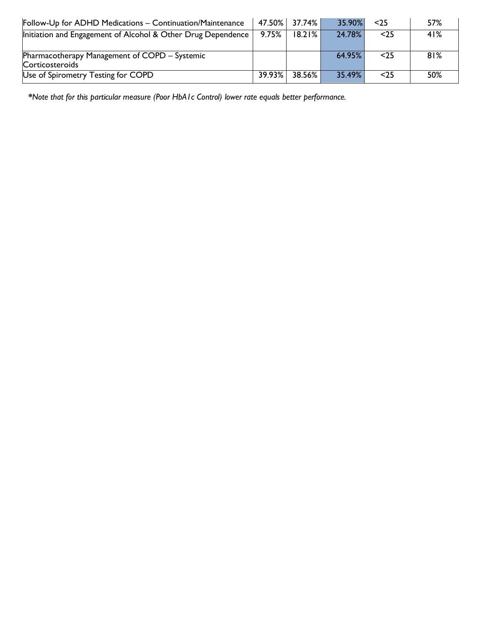| Follow-Up for ADHD Medications - Continuation/Maintenance        |        | 47.50% 37.74% | 35.90%    | $<$ 25 | 57% |
|------------------------------------------------------------------|--------|---------------|-----------|--------|-----|
| Initiation and Engagement of Alcohol & Other Drug Dependence     | 9.75%  | $18.21\%$     | 24.78%    | $25$   | 41% |
| Pharmacotherapy Management of COPD – Systemic<br>Corticosteroids |        |               | $64.95\%$ | $<$ 25 | 81% |
| Use of Spirometry Testing for COPD                               | 39.93% | 38.56%        | 35.49%    | $<$ 25 | 50% |

*\*Note that for this particular measure (Poor HbA1c Control) lower rate equals better performance.*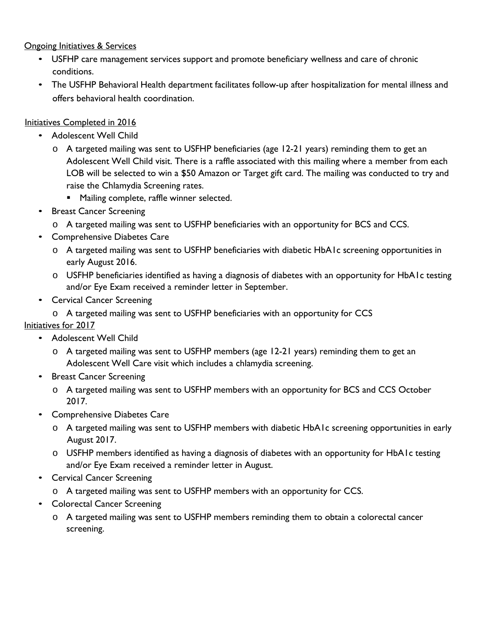#### Ongoing Initiatives & Services

- USFHP care management services support and promote beneficiary wellness and care of chronic conditions.
- The USFHP Behavioral Health department facilitates follow-up after hospitalization for mental illness and offers behavioral health coordination.

#### Initiatives Completed in 2016

- Adolescent Well Child
	- o A targeted mailing was sent to USFHP beneficiaries (age 12-21 years) reminding them to get an Adolescent Well Child visit. There is a raffle associated with this mailing where a member from each LOB will be selected to win a \$50 Amazon or Target gift card. The mailing was conducted to try and raise the Chlamydia Screening rates.
		- **Mailing complete, raffle winner selected.**
- Breast Cancer Screening
	- o A targeted mailing was sent to USFHP beneficiaries with an opportunity for BCS and CCS.
- Comprehensive Diabetes Care
	- o A targeted mailing was sent to USFHP beneficiaries with diabetic HbA1c screening opportunities in early August 2016.
	- o USFHP beneficiaries identified as having a diagnosis of diabetes with an opportunity for HbA1c testing and/or Eye Exam received a reminder letter in September.
- Cervical Cancer Screening
- o A targeted mailing was sent to USFHP beneficiaries with an opportunity for CCS

### Initiatives for 2017

- Adolescent Well Child
	- o A targeted mailing was sent to USFHP members (age 12-21 years) reminding them to get an Adolescent Well Care visit which includes a chlamydia screening.
- Breast Cancer Screening
	- o A targeted mailing was sent to USFHP members with an opportunity for BCS and CCS October 2017.
- Comprehensive Diabetes Care
	- o A targeted mailing was sent to USFHP members with diabetic HbA1c screening opportunities in early August 2017.
	- o USFHP members identified as having a diagnosis of diabetes with an opportunity for HbA1c testing and/or Eye Exam received a reminder letter in August.
- Cervical Cancer Screening
	- o A targeted mailing was sent to USFHP members with an opportunity for CCS.
- Colorectal Cancer Screening
	- o A targeted mailing was sent to USFHP members reminding them to obtain a colorectal cancer screening.